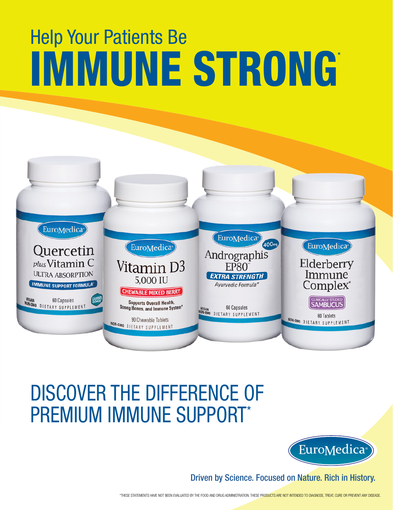# IMMUNE STRONG Help Your Patients Be



# DISCOVER THE DIFFERENCE OF PREMIUM IMMUNE SUPPORT\*



Driven by Science. Focused on Nature. Rich in History.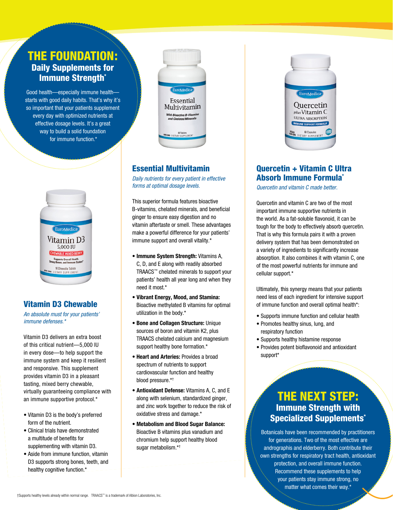# THE FOUNDATION: Daily Supplements for **Immune Strength\***

Good health—especially immune health starts with good daily habits. That's why it's so important that your patients supplement every day with optimized nutrients at effective dosage levels. It's a great way to build a solid foundation for immune function.\*



#### Vitamin D3 Chewable

*An absolute must for your patients' immune defenses.\**

Vitamin D3 delivers an extra boost of this critical nutrient—5,000 IU in every dose—to help support the immune system and keep it resilient and responsive. This supplement provides vitamin D3 in a pleasant tasting, mixed berry chewable, virtually guaranteeing compliance with an immune supportive protocol.\*

- Vitamin D3 is the body's preferred form of the nutrient.
- Clinical trials have demonstrated a multitude of benefits for supplementing with vitamin D3.
- Aside from immune function, vitamin D3 supports strong bones, teeth, and healthy cognitive function.\*



### Essential Multivitamin

*Daily nutrients for every patient in effective forms at optimal dosage levels.*

This superior formula features bioactive B-vitamins, chelated minerals, and beneficial ginger to ensure easy digestion and no vitamin aftertaste or smell. These advantages make a powerful difference for your patients' immune support and overall vitality.\*

- **Immune System Strength:** Vitamins A, C, D, and E along with readily absorbed TRAACS™ chelated minerals to support your patients' health all year long and when they need it most.\*
- **Vibrant Energy, Mood, and Stamina:**  Bioactive methylated B vitamins for optimal utilization in the body.\*
- **Bone and Collagen Structure:** Unique sources of boron and vitamin K2, plus TRAACS chelated calcium and magnesium support healthy bone formation.\*
- **Heart and Arteries:** Provides a broad spectrum of nutrients to support cardiovascular function and healthy blood pressure.\*†
- **Antioxidant Defense:** Vitamins A, C, and E along with selenium, standardized ginger, and zinc work together to reduce the risk of oxidative stress and damage.\*
- **Metabolism and Blood Sugar Balance:**  Bioactive B vitamins plus vanadium and chromium help support healthy blood sugar metabolism.\*†



#### Quercetin + Vitamin C Ultra Absorb Immune Formula\*

*Quercetin and vitamin C made better.*

Quercetin and vitamin C are two of the most important immune supportive nutrients in the world. As a fat-soluble flavonoid, it can be tough for the body to effectively absorb quercetin. That is why this formula pairs it with a proven delivery system that has been demonstrated on a variety of ingredients to significantly increase absorption. It also combines it with vitamin C, one of the most powerful nutrients for immune and cellular support.\*

Ultimately, this synergy means that your patients need less of each ingredient for intensive support of immune function and overall optimal health\*:

- Supports immune function and cellular health
- Promotes healthy sinus, lung, and respiratory function
- Supports healthy histamine response
- Provides potent bioflavonoid and antioxidant support\*

# THE NEXT STEP: Immune Strength with Specialized Supplements\*

Botanicals have been recommended by practitioners for generations. Two of the most effective are andrographis and elderberry. Both contribute their own strengths for respiratory tract health, antioxidant protection, and overall immune function. Recommend these supplements to help your patients stay immune strong, no matter what comes their way.\*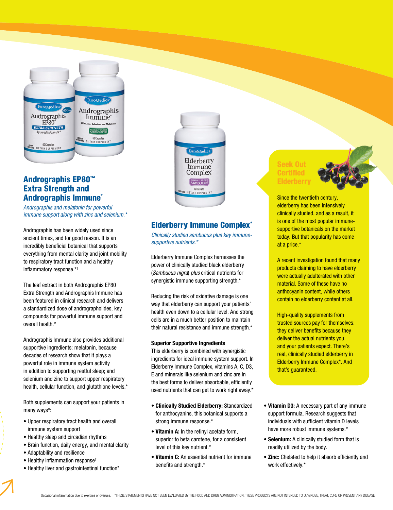

#### Andrographis EP80™ Extra Strength and Andrographis Immune\*

*Andrographis and melatonin for powerful immune support along with zinc and selenium.\**

Andrographis has been widely used since ancient times, and for good reason. It is an incredibly beneficial botanical that supports everything from mental clarity and joint mobility to respiratory tract function and a healthy inflammatory response.\*†

The leaf extract in both Andrographis EP80 Extra Strength and Andrographis Immune has been featured in clinical research and delivers a standardized dose of andrographolides, key compounds for powerful immune support and overall health.\*

Andrographis Immune also provides additional supportive ingredients: melatonin, because decades of research show that it plays a powerful role in immune system activity in addition to supporting restful sleep; and selenium and zinc to support upper respiratory health, cellular function, and glutathione levels.\*

Both supplements can support your patients in many ways\*:

- Upper respiratory tract health and overall immune system support
- Healthy sleep and circadian rhythms
- Brain function, daily energy, and mental clarity
- Adaptability and resilience
- Healthy inflammation response†
- Healthy liver and gastrointestinal function\*



#### Elderberry Immune Complex\*

*Clinically studied sambucus plus key immunesupportive nutrients.\**

Elderberry Immune Complex harnesses the power of clinically studied black elderberry (*Sambucus nigra*) *plus* critical nutrients for synergistic immune supporting strength.\*

Reducing the risk of oxidative damage is one way that elderberry can support your patients' health even down to a cellular level. And strong cells are in a much better position to maintain their natural resistance and immune strength.\*

#### **Superior Supportive Ingredients**

This elderberry is combined with synergistic ingredients for ideal immune system support. In Elderberry Immune Complex, vitamins A, C, D3, E and minerals like selenium and zinc are in the best forms to deliver absorbable, efficiently used nutrients that can get to work right away.\*

- **Clinically Studied Elderberry:** Standardized for anthocyanins, this botanical supports a strong immune response.\*
- **Vitamin A:** In the retinyl acetate form, superior to beta carotene, for a consistent level of this key nutrient.\*
- **Vitamin C:** An essential nutrient for immune benefits and strength.\*

#### Seek Out Certified Elderberry



Since the twentieth century, elderberry has been intensively clinically studied, and as a result, it is one of the most popular immunesupportive botanicals on the market today. But that popularity has come at a price.\*

A recent investigation found that many products claiming to have elderberry were actually adulterated with other material. Some of these have no anthocyanin content, while others contain no elderberry content at all.

High-quality supplements from trusted sources pay for themselves: they deliver benefits because they deliver the actual nutrients you and your patients expect. There's real, clinically studied elderberry in Elderberry Immune Complex\*. And that's guaranteed.

- **Vitamin D3:** A necessary part of any immune support formula. Research suggests that individuals with sufficient vitamin D levels have more robust immune systems.\*
- **Selenium:** A clinically studied form that is readily utilized by the body.
- **Zinc:** Chelated to help it absorb efficiently and work effectively.\*